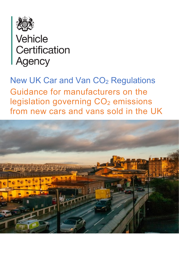

# **Vehicle** Certification **Agency**

New UK Car and Van CO<sub>2</sub> Regulations Guidance for manufacturers on the legislation governing CO<sub>2</sub> emissions from new cars and vans sold in the UK

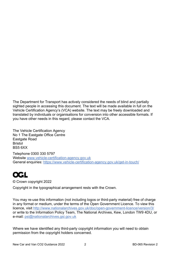The Department for Transport has actively considered the needs of blind and partially sighted people in accessing this document. The text will be made available in full on the Vehicle Certification Agency's (VCA) website. The text may be freely downloaded and translated by individuals or organisations for conversion into other accessible formats. If you have other needs in this regard, please contact the VCA.

The Vehicle Certification Agency No 1 The Eastgate Office Centre Eastgate Road Bristol BS5 6XX

Telephone 0300 330 5797 Website [www.vehicle-certification-agency.gov.uk](http://www.vehicle-certification-agency.gov.uk/) General enquiries:<https://www.vehicle-certification-agency.gov.uk/get-in-touch/>

## **OGL**

© Crown copyright 2022

Copyright in the typographical arrangement rests with the Crown.

You may re-use this information (not including logos or third-party material) free of charge in any format or medium, under the terms of the Open Government Licence. To view this licence, visit<http://www.nationalarchives.gov.uk/doc/open-government-licence/version/3/> or write to the Information Policy Team, The National Archives, Kew, London TW9 4DU, or e-mail: [psi@nationalarchives.gsi.gov.uk](mailto:psi@nationalarchives.gsi.gov.uk)

Where we have identified any third-party copyright information you will need to obtain permission from the copyright holders concerned.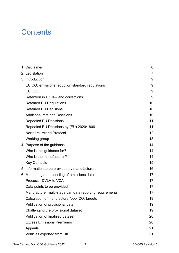### **Contents**

|  | 1. Disclaimer                                               | 6               |
|--|-------------------------------------------------------------|-----------------|
|  | 2. Legislation                                              | $\overline{7}$  |
|  | 3. Introduction                                             | 9               |
|  | EU CO <sub>2</sub> emissions reduction standard regulations | 9               |
|  | <b>EU Exit</b>                                              | 9               |
|  | Retention in UK law and corrections                         | 9               |
|  | <b>Retained EU Regulations</b>                              | 10              |
|  | <b>Retained EU Decisions</b>                                | 10              |
|  | <b>Additional retained Decisions</b>                        | 10              |
|  | <b>Repealed EU Decisions</b>                                | 11              |
|  | Repealed EU Decisions by (EU) 2020/1806                     | 11              |
|  | <b>Northern Ireland Protocol</b>                            | 12 <sup>2</sup> |
|  | Working group                                               | 13              |
|  | 4. Purpose of the guidance                                  | 14              |
|  | Who is this guidance for?                                   | 14              |
|  | Who is the manufacturer?                                    | 14              |
|  | <b>Key Contacts</b>                                         | 15              |
|  | 5. Information to be provided by manufacturers              | 16              |
|  | 6. Monitoring and reporting of emissions data               | 17              |
|  | Process - DVLA to VCA                                       | 17              |
|  | Data points to be provided                                  | 17              |
|  | Manufacturer multi-stage van data reporting requirements    | 17              |
|  | Calculation of manufacturer/pool CO <sub>2</sub> targets    | 19              |
|  | Publication of provisional data                             | 19              |
|  | Challenging the provisional dataset                         | 19              |
|  | Publication of finalised dataset                            | 20              |
|  | <b>Excess Emissions Premiums</b>                            | 20              |
|  | Appeals                                                     | 21              |
|  | Vehicles exported from UK                                   | 21              |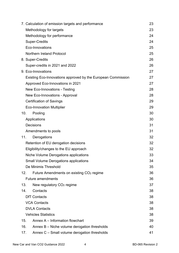|                 | 7. Calculation of emission targets and performance           | 23 |
|-----------------|--------------------------------------------------------------|----|
|                 | Methodology for targets                                      | 23 |
|                 | Methodology for performance                                  | 24 |
|                 | <b>Super-Credits</b>                                         | 24 |
|                 | Eco-Innovations                                              | 25 |
|                 | Northern Ireland Protocol                                    | 25 |
|                 | 8. Super-Credits                                             | 26 |
|                 | Super-credits in 2021 and 2022                               | 26 |
|                 | 9. Eco-Innovations                                           | 27 |
|                 | Existing Eco-Innovations approved by the European Commission | 27 |
|                 | Approved Eco-Innovations in 2021                             | 27 |
|                 | <b>New Eco-Innovations - Testing</b>                         | 28 |
|                 | New Eco-Innovations - Approval                               | 28 |
|                 | <b>Certification of Savings</b>                              | 29 |
|                 | <b>Eco-Innovation Multiplier</b>                             | 29 |
| 10 <sub>1</sub> | Pooling                                                      | 30 |
|                 | Applications                                                 | 30 |
|                 | <b>Decisions</b>                                             | 31 |
|                 | Amendments to pools                                          | 31 |
| 11.             | Derogations                                                  | 32 |
|                 | Retention of EU derogation decisions                         | 32 |
|                 | Eligibility/changes to the EU approach                       | 32 |
|                 | Niche Volume Derogations applications                        | 33 |
|                 | <b>Small Volume Derogations applications</b>                 | 34 |
|                 | De Minimis Threshold                                         | 35 |
| 12.             | Future Amendments on existing CO <sub>2</sub> regime         | 36 |
|                 | <b>Future amendments</b>                                     | 36 |
| 13.             | New regulatory CO <sub>2</sub> regime                        | 37 |
| 14.             | Contacts                                                     | 38 |
|                 | <b>DfT Contacts</b>                                          | 38 |
|                 | <b>VCA Contacts</b>                                          | 38 |
|                 | <b>DVLA Contacts</b>                                         | 38 |
|                 | <b>Vehicles Statistics</b>                                   | 38 |
| 15.             | Annex A – Information flowchart                              | 39 |
| 16.             | Annex B – Niche volume derogation thresholds                 | 40 |
| 17.             | Annex C - Small volume derogation thresholds                 | 41 |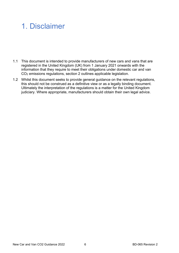## 1. Disclaimer

- 1.1 This document is intended to provide manufacturers of new cars and vans that are registered in the United Kingdom (UK) from 1 January 2021 onwards with the information that they require to meet their obligations under domestic car and van CO2 emissions regulations, section 2 outlines applicable legislation.
- 1.2 Whilst this document seeks to provide general guidance on the relevant regulations, this should not be construed as a definitive view or as a legally binding document. Ultimately the interpretation of the regulations is a matter for the United Kingdom judiciary. Where appropriate, manufacturers should obtain their own legal advice.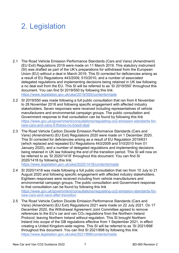## 2. Legislation

- 2.1 The Road Vehicle Emission Performance Standards (Cars and Vans) (Amendment) (EU Exit) Regulations 2019 were made on 11 March 2019. This statutory instrument (SI) was drafted as part of the UK's preparations for withdrawal from the European Union (EU) without a deal in March 2019. This SI corrected for deficiencies arising as a result of EU Regulations 443/2009, 510/2010, and a number of associated delegated regulations and implementing decisions being retained in UK law following a no deal exit from the EU. This SI will be referred to as 'SI 2019/550' throughout this document. You can find SI 2019/550 by following this link: <https://www.legislation.gov.uk/uksi/2019/550/contents/made>
- 2.2 SI 2019/550 was made following a full public consultation that ran from 6 November to 28 November 2018 and following specific engagement with affected industry stakeholders. Seven responses were received including representatives of vehicle manufacturers and environmental campaign groups. The public consultation and Government response to that consultation can be found by following this link [https://www.gov.uk/government/consultations/regulating-co2-emission-standards-for](https://www.gov.uk/government/consultations/regulating-co2-emission-standards-for-new-cars-and-vans-if-theres-no-brexit-deal)[new-cars-and-vans-if-theres-no-brexit-deal](https://www.gov.uk/government/consultations/regulating-co2-emission-standards-for-new-cars-and-vans-if-theres-no-brexit-deal)
- 2.3 The Road Vehicle Carbon Dioxide Emission Performance Standards (Cars and Vans) (Amendment) (EU Exit) Regulations 2020 were made on 1 December 2020. This SI corrected for deficiencies arising as a result of EU Regulation 2019/631 (which replaced and repealed EU Regulations 443/2009 and 510/2010 from 01 January 2020), and a number of delegated regulations and implementing decisions being retained in UK law following the end of the transition period. This SI will now on be referred to as 'SI 2020/1418' throughout this document. You can find SI 2020/1418 by following this link:

<https://www.legislation.gov.uk/uksi/2020/1418/contents/made>

- 2.4 SI 2020/1418 was made following a full public consultation that ran from 10 July to 21 August 2020 and following specific engagement with affected industry stakeholders. Eighteen responses were received including from vehicle manufacturers and environmental campaign groups. The public consultation and Government response to that consultation can be found by following this link [https://www.gov.uk/government/consultations/regulating-co2-emission-standards-for](https://www.gov.uk/government/consultations/regulating-co2-emission-standards-for-new-cars-and-vans-after-transition)[new-cars-and-vans-after-transition](https://www.gov.uk/government/consultations/regulating-co2-emission-standards-for-new-cars-and-vans-after-transition)
- 2.5 The Road Vehicle Carbon Dioxide Emission Performance Standards (Cars and Vans) (Amendment) (EU Exit) Regulations 2021 were made on 22 July 2021. On 17 December 2020, the Withdrawal Agreement Joint Committee agreed to remove references to the EU's car and van CO<sub>2</sub> regulations from the Northern Ireland Protocol, leaving Northern Ireland without regulation. This SI brought Northern Ireland into scope of the GB regulations effective from 1 September 2021, in effect creating a United Kingdom-wide regime. This SI will be referred to as 'SI 2021/898' throughout this document. You can find SI 2021/898 by following this link: <https://www.legislation.gov.uk/uksi/2021/898/contents/made>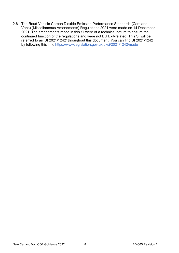2.6 The Road Vehicle Carbon Dioxide Emission Performance Standards (Cars and Vans) (Miscellaneous Amendments) Regulations 2021 were made on 14 December 2021. The amendments made in this SI were of a technical nature to ensure the continued function of the regulations and were not EU Exit-related. This SI will be referred to as 'SI 2021/1242' throughout this document. You can find SI 2021/1242 by following this link:<https://www.legislation.gov.uk/uksi/2021/1242/made>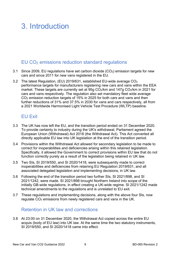## 3. Introduction

### EU CO2 emissions reduction standard regulations

- 3.1 Since 2009, EU regulations have set carbon dioxide (CO2) emission targets for new cars and since 2011 for new vans registered in the EU.
- 3.2 The latest Regulation, (EU) 2019/631, established EU-wide average CO2 performance targets for manufacturers registering new cars and vans within the EEA market. These targets are currently set at 95g CO<sub>2</sub>/km and 147g CO<sub>2</sub>/km in 2021 for cars and vans respectively. The regulation also set mandatory fleet wide average CO2 emission reduction targets of 15% in 2025 for both cars and vans and then further reductions of 31% and 37.5% in 2030 for vans and cars respectively, all from a 2021 Worldwide Harmonised Light Vehicle Test Procedure (WLTP) baseline.

#### EU Exit

- 3.3 The UK has now left the EU, and the transition period ended on 31 December 2020. To provide certainty to industry during the UK's withdrawal, Parliament agreed the European Union (Withdrawal) Act 2018 (the Withdrawal Act). This Act converted all directly applicable EU law into UK legislation at the end of the transition period.
- 3.4 Provisions within the Withdrawal Act allowed for secondary legislation to be made to correct for inoperabilities and deficiencies arising within this retained legislation. Specifically, it allowed the Government to correct provisions within EU law that do not function correctly purely as a result of the legislation being retained in UK law.
- 3.5 Two SIs, SI 2019/550, and SI 2020/1418, were subsequently made to correct inoperabilities and deficiencies from retaining EU Regulation 2019/631, and all associated delegated legislation and implementing decisions, in UK law.
- 3.6 Following the end of the transition period two further SIs, SI 2021/898, and SI 2021/1242, were made. SI 2021/898 brought Northern Ireland into scope of the initially GB-wide regulations, in effect creating a UK-wide regime. SI 2021/1242 made technical amendments to the regulations and is unrelated to EU exit.
- 3.7 These regulations and implementing decisions, along with the above four SIs, now regulate CO2 emissions from newly registered cars and vans in the UK.

#### Retention in UK law and corrections

3.8 At 23:00 on 31 December 2020, the Withdrawal Act copied across the entire EU acquis (body of EU law) into UK law. At the same time the two statutory instruments, SI 2019/550, and SI 2020/1418 came into effect.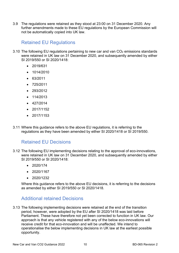3.9 The regulations were retained as they stood at 23:00 on 31 December 2020. Any further amendments made to these EU regulations by the European Commission will not be automatically copied into UK law.

### Retained EU Regulations

- 3.10 The following EU regulations pertaining to new car and van  $CO<sub>2</sub>$  emissions standards were retained in UK law on 31 December 2020, and subsequently amended by either SI 2019/550 or SI 2020/1418:
	- 2019/631
	- 1014/2010
	- 63/2011
	- 725/2011
	- 293/2012
	- 114/2013
	- 427/2014
	- 2017/1152
	- 2017/1153
- 3.11 Where this guidance refers to the above EU regulations, it is referring to the regulations as they have been amended by either SI 2020/1418 or SI 2019/550.

#### Retained EU Decisions

- 3.12 The following EU implementing decisions relating to the approval of eco-innovations, were retained in UK law on 31 December 2020, and subsequently amended by either SI 2019/550 or SI 2020/1418:
	- 2020/174
	- 2020/1167
	- 2020/1232

Where this guidance refers to the above EU decisions, it is referring to the decisions as amended by either SI 2019/550 or SI 2020/1418.

#### Additional retained Decisions

3.13 The following implementing decisions were retained at the end of the transition period, however, were adopted by the EU after SI 2020/1418 was laid before Parliament. These have therefore not yet been corrected to function in UK law. Our approach is that any vehicle registered with any of the below eco-innovations will receive credit for that eco-innovation and will be unaffected. We intend to operationalise the below implementing decisions in UK law at the earliest possible opportunity.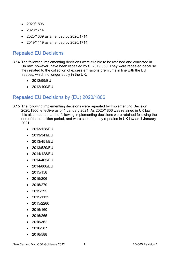- 2020/1806
- 2020/1714
- 2020/1339 as amended by 2020/1714
- 2019/1119 as amended by 2020/1714

#### Repealed EU Decisions

- 3.14 The following implementing decisions were eligible to be retained and corrected in UK law, however, have been repealed by SI 2019/550. They were repealed because they related to the collection of excess emissions premiums in line with the EU treaties, which no longer apply in the UK.
	- 2012/99/EU
	- 2012/100/EU

### Repealed EU Decisions by (EU) 2020/1806

- 3.15 The following implementing decisions were repealed by Implementing Decision 2020/1806, effective as of 1 January 2021. As 2020/1806 was retained in UK law, this also means that the following implementing decisions were retained following the end of the transition period, and were subsequently repealed in UK law as 1 January 2021.
	- 2013/128/EU
	- 2013/341/EU
	- 2013/451/EU
	- 2013/529/EU
	- 2014/128/EU
	- 2014/465/EU
	- 2014/806/EU
	- 2015/158
	- 2015/206
	- 2015/279
	- 2015/295
	- 2015/1132
	- 2015/2280
	- 2016/160
	- 2016/265
	- 2016/362
	- 2016/587
	- 2016/588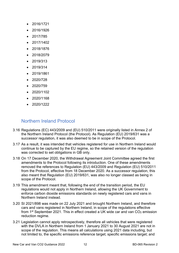- 2016/1721
- 2016/1926
- 2017/785
- 2017/1402
- 2018/1876
- 2018/2079
- 2019/313
- 2019/314
- 2019/1861
- 2020/728
- 2020/759
- 2020/1102
- 2020/1168
- $2020/1222$

#### Northern Ireland Protocol

- 3.16 Regulations (EC) 443/2009 and (EU) 510/2011 were originally listed in Annex 2 of the Northern Ireland Protocol (the Protocol). As Regulation (EU) 2019/631 was a successor regulation, it was also deemed to be in scope of the Protocol.
- 3.17 As a result, it was intended that vehicles registered for use in Northern Ireland would continue to be captured by the EU regime, so the retained version of the regulation was corrected to set obligations in GB only.
- 3.18 On 17 December 2020, the Withdrawal Agreement Joint Committee agreed the first amendments to the Protocol following its introduction. One of these amendments removed the references to Regulation (EU) 443/2009 and Regulation (EU) 510/2011 from the Protocol, effective from 18 December 2020. As a successor regulation, this also meant that Regulation (EU) 2019/631, was also no longer classed as being in scope of the Protocol.
- 3.19 This amendment meant that, following the end of the transition period, the EU regulations would not apply in Northern Ireland, allowing the UK Government to enforce carbon dioxide emissions standards on newly registered cars and vans in Northern Ireland instead.
- 3.20 SI 2021/898 was made on 22 July 2021 and brought Northern Ireland, and therefore cars and vans registered in Northern Ireland, in scope of the regulations effective from  $1<sup>st</sup>$  September 2021. This in effect created a UK wide car and van  $CO<sub>2</sub>$  emission reduction regime.
- 3.21 Legislation cannot apply retrospectively, therefore all vehicles that were registered with the DVLA in Northern Ireland from 1 January 2021 to 30 August 2021 are not in scope of the regulation. This means all calculations using 2021 data including, but not limited to, the specific emissions reference target; specific emissions target; and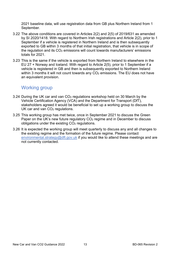2021 baseline data, will use registration data from GB plus Northern Ireland from 1 September.

- 3.22 The above conditions are covered in Articles 2(2) and 2(5) of 2019/631 as amended by SI 2020/1418. With regard to Northern Irish registrations and Article 2(2), prior to 1 September if a vehicle is registered in Northern Ireland and is then subsequently exported to GB within 3 months of that initial registration, that vehicle is in scope of the regulation and its  $CO<sub>2</sub>$  emissions will count towards manufacturers' emissions totals for 2021.
- 3.23 This is the same if the vehicle is exported from Northern Ireland to elsewhere in the EU 27 + Norway and Iceland. With regard to Article 2(5), prior to 1 September if a vehicle is registered in GB and then is subsequently exported to Northern Ireland within 3 months it will not count towards any  $CO<sub>2</sub>$  emissions. The EU does not have an equivalent provision.

#### Working group

- 3.24 During the UK car and van CO2 regulations workshop held on 30 March by the Vehicle Certification Agency (VCA) and the Department for Transport (DfT), stakeholders agreed it would be beneficial to set up a working group to discuss the UK car and van CO<sub>2</sub> regulations.
- 3.25 This working group has met twice, once in September 2021 to discuss the Green Paper on the UK's new future regulatory CO<sub>2</sub> regime and in December to discuss obligations under the existing CO<sub>2</sub> regulations.
- 3.26 It is expected the working group will meet quarterly to discuss any and all changes to the existing regime and the formation of the future regime. Please contact [environmental.strategy@dft.gov.uk](mailto:environmental.strategy@dft.gov.uk) if you would like to attend these meetings and are not currently contacted.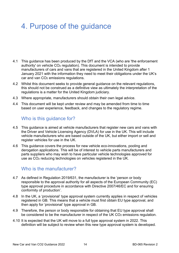## 4. Purpose of the guidance

- 4.1 This guidance has been produced by the DfT and the VCA (who are 'the enforcement authority' on vehicle CO2 regulation). This document is intended to provide manufacturers of cars and vans that are registered in the United Kingdom after 1 January 2021 with the information they need to meet their obligations under the UK's car and van  $CO<sub>2</sub>$  emissions regulations.
- 4.2 Whilst this document seeks to provide general guidance on the relevant regulations, this should not be construed as a definitive view as ultimately the interpretation of the regulations is a matter for the United Kingdom judiciary.
- 4.3 Where appropriate, manufacturers should obtain their own legal advice.
- 4.4 This document will be kept under review and may be amended from time to time based on user experience, feedback, and changes to the regulatory regime.

#### Who is this guidance for?

- 4.5 This guidance is aimed at vehicle manufacturers that register new cars and vans with the Driver and Vehicle Licensing Agency (DVLA) for use in the UK. This will include vehicle manufacturers who are based outside of the UK, but either import or sell and register vehicles for use in the UK.
- 4.6 This guidance covers the process for new vehicle eco-innovations, pooling and derogation applications. This will be of interest to vehicle parts manufacturers and parts suppliers who may wish to have particular vehicle technologies approved for use as CO2 reducing technologies on vehicles registered in the UK.

#### Who is the manufacturer?

- 4.7 As defined in Regulation 2019/631, the manufacturer is the 'person or body responsible to the approval authority for all aspects of the European Community (EC) type approval procedure in accordance with Directive 2007/46/EC and for ensuring conformity of production'.
- 4.8 In the UK, a 'provisional' type approval system currently applies in respect of vehicles registered in GB. This means that a vehicle must first obtain EU type approval, and then apply for 'provisional' type approval in GB.
- 4.9 Therefore, the person or body responsible for obtaining that EU type approval shall be considered to be the manufacturer in respect of the UK CO<sub>2</sub> emissions regulation.
- 4.10 It is expected that the UK will move to a full type approval system in 2022. This definition will be subject to review when this new type approval system is developed.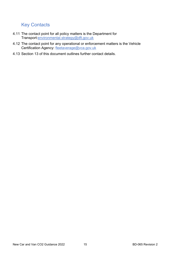### Key Contacts

- 4.11 The contact point for all policy matters is the Department for Transport[:environmental.strategy@dft.gov.uk](mailto:environmental.strategy@dft.gov.uk)
- 4.12 The contact point for any operational or enforcement matters is the Vehicle Certification Agency: [fleetaverage@vca.gov.uk](mailto:fleetaverage@vca.gov.uk)
- 4.13 Section 13 of this document outlines further contact details.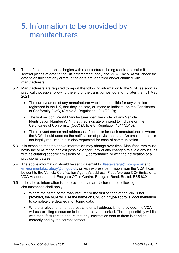### 5. Information to be provided by manufacturers

- 5.1 The enforcement process begins with manufacturers being required to submit several pieces of data to the UK enforcement body, the VCA. The VCA will check the data to ensure that any errors in the data are identified and/or clarified with manufacturers.
- 5.2 Manufacturers are required to report the following information to the VCA, as soon as practically possible following the end of the transition period and no later than 31 May 2021:
	- The name/names of any manufacturer who is responsible for any vehicles registered in the UK, that they indicate, or intend to indicate, on the Certificates of Conformity (CoC) (Article 8, Regulation 1014/2010);
	- The first section (World Manufacturer Identifier code) of any Vehicle Identification Number (VIN) that they indicate or intend to indicate on the Certificates of Conformity (CoC) (Article 8, Regulation 1014/2010);
	- The relevant names and addresses of contacts for each manufacturer to whom the VCA should address the notification of provisional data. An email address is not legally required, but is also requested for ease of communication.
- 5.3 It is expected that the above information may change over time. Manufacturers must notify the VCA at the earliest possible opportunity of any changes to avoid any issues with calculating specific emissions of CO<sub>2</sub> performance or with the notification of a provisional dataset.
- 5.4 The above information should be sent via email to [fleetaverage@vca.gov.uk](mailto:fleetaverage@vca.gov.uk) and [environmental.strategy@dft.gov.uk,](mailto:environmental.strategy@dft.gov.uk) or with express permission from the VCA it can be sent to the Vehicle Certification Agency's address: Fleet Average CO<sub>2</sub> Emissions, VCA Headquarters, 1 Eastgate Office Centre, Eastgate Road, Bristol, BS5 6XX.
- 5.5 If the above information is not provided by manufacturers, the following circumstances shall apply:
	- Where the name of the manufacturer or the first section of the VIN is not provided, the VCA will use the name on CoC or in type-approval documentation to complete the detailed monitoring data.
	- Where a relevant name, address and email address is not provided, the VCA will use existing resources to locate a relevant contact. The responsibility will lie with manufacturers to ensure that any information sent to them is handled correctly and by the correct contact.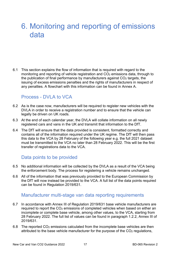### 6. Monitoring and reporting of emissions data

6.1 This section explains the flow of information that is required with regard to the monitoring and reporting of vehicle registration and  $CO<sub>2</sub>$  emissions data, through to the publication of final performance by manufacturers against CO<sub>2</sub> targets, the issuing of excess emissions penalties and the rights of manufacturers in respect of any penalties. A flowchart with this information can be found in Annex A.

#### Process - DVLA to VCA

- 6.2 As is the case now, manufacturers will be required to register new vehicles with the DVLA in order to receive a registration number and to ensure that the vehicle can legally be driven on UK roads.
- 6.3 At the end of each calendar year, the DVLA will collate information on all newly registered cars and vans in the UK and transmit that information to the DfT.
- 6.4 The DfT will ensure that the data provided is consistent, formatted correctly and contains all of the information required under the UK regime. The DfT will then pass this data to the VCA by 28 February of the following year e.g. the full 2021 dataset must be transmitted to the VCA no later than 28 February 2022. This will be the first transfer of registrations data to the VCA.

#### Data points to be provided

- 6.5 No additional information will be collected by the DVLA as a result of the VCA being the enforcement body. The process for registering a vehicle remains unchanged.
- 6.6 All of the information that was previously provided to the European Commission by the DfT will now instead be provided to the VCA. A full list of the data points required can be found in Regulation 2019/631.

#### Manufacturer multi-stage van data reporting requirements

- 6.7 In accordance with Annex III of Regulation 2019/631 base vehicle manufacturers are required to report the CO<sub>2</sub> emissions of completed vehicles when based on either an incomplete or complete base vehicle, among other values, to the VCA, starting from 28 February 2022. The full list of values can be found in paragraph 1.2.2, Annex III of 2019/631.
- 6.8 The reported CO2 emissions calculated from the incomplete base vehicles are then attributed to the base vehicle manufacturer for the purpose of the CO<sub>2</sub> regulations,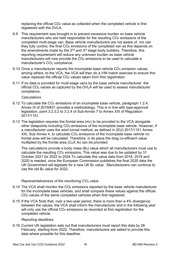replacing the official CO2 value as collected when the completed vehicle is first registered with the DVLA.

- 6.9 This requirement was brought in to prevent excessive burden on base vehicle manufacturers who are held responsible for the resulting  $CO<sub>2</sub>$  emissions of the completed multi-stage van. Base vehicle manufacturers are not aware of, nor can they fully control, the final  $CO<sub>2</sub>$  emissions of the completed van as this depends on the amendments made by the  $2^{nd}$  and  $3^{rd}$  stage body builders. Therefore, this reporting requirement will reduce any unknown burden as base vehicle manufacturers will now provide the  $CO<sub>2</sub>$  emissions to be used to calculate a manufacturer's CO<sub>2</sub> compliance.
- 6.10 Once a manufacturer reports the incomplete base vehicle  $CO<sub>2</sub>$  emission values, among others, to the VCA, the VCA will then do a VIN match exercise to ensure this value replaces the official CO<sub>2</sub> values taken from first registration.
- 6.11 If no data is provided for multi-stage vans by the base vehicle manufacturer, the official CO2 values as captured by the DVLA will be used to assess manufacturer compliance.

#### *Calculations*

- 6.12 To calculate the  $CO<sub>2</sub>$  emissions of an incomplete base vehicle, paragraph 1.2.4, Annex III of 2019/631 provides a methodology. This is in line with type-approval legislation, point 3.2.3.2 to 3.2.4 of Sub-Annex 7 to Annex XXI of Regulation 2017/1151.
- 6.13 The legislation requires the frontal area (m2) to be provided to the VCA alongside other datapoints including CO2 emissions of the incomplete base vehicle. However, if a manufacturer uses the wind tunnel method, as defined in (EU) 2017/1151 Annex XXI, Sub Annex 4, to calculate CO<sub>2</sub> emissions of the incomplete base vehicle no frontal area will be calculated. Therefore, in its place the drag co-efficient value multiplied by the frontal area  $(C_D X A_f)$  can be provided.

The calculations provide a body mass  $(B<sub>0</sub>)$  value which all manufacturers must use to calculate the resulting  $CO<sub>2</sub>$  emissions. This value was due to be updated by 31 October 2021 for 2022 to 2024.To calculate this value data from 2018, 2019 and 2020 is needed, once the European Commission publishes the final 2020 data the UK Government will legislate for a new UK  $B<sub>0</sub>$  value. Manufacturers can continue to use the old B<sub>0</sub> value for 2022.

#### *Representativeness of the monitoring CO2 value*

- 6.14 The VCA shall monitor the  $CO<sub>2</sub>$  emissions reported by the base vehicle manufacturer for the incomplete base vehicles, and shall compare these values against the official CO2 values of the same completed vehicles when first registered.
- 6.15 If the VCA finds that, over a two-year period, there is more than a 4% divergence between the values, the VCA shall inform the manufacturer and in the following year will only use the official  $CO<sub>2</sub>$  emissions as recorded at first registration for the completed vehicle.

#### *Reporting deadlines*

6.16 Current UK legislation sets out that manufacturers must report this data by 28 February, starting from 2022. Therefore, manufacturers are asked to provide this data where possible for this deadline.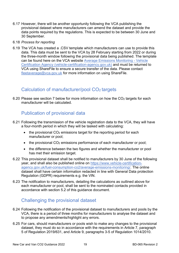6.17 However, there will be another opportunity following the VCA publishing the provisional dataset where manufacturers can amend the dataset and provide the data points required by the regulations. This is expected to be between 30 June and 30 September.

#### 6.18 *Process for reporting*

6.19 The VCA has created a .CSV template which manufacturers can use to provide this data. This data must be sent to the VCA by 28 February starting from 2022 or during the three-month window following the provisional data being published. The template can be found here on the VCA website [Average Emissions Monitoring - Vehicle](https://www.vehicle-certification-agency.gov.uk/fuel-consumption-co2/average-emissions-monitoring/)  [Certification Agency \(vehicle-certification-agency.gov.uk\)](https://www.vehicle-certification-agency.gov.uk/fuel-consumption-co2/average-emissions-monitoring/) and must be returned to VCA using ShareFile to ensure a secure transfer of the data. Please contact [fleetaverage@vca.gov.uk](mailto:fleetaverage@vca.gov.uk) for more information on using ShareFile.

#### Calculation of manufacturer/pool CO2 targets

6.20 Please see section 7 below for more information on how the  $CO<sub>2</sub>$  targets for each manufacturer will be calculated.

#### Publication of provisional data

- 6.21 Following the transmission of the vehicle registration data to the VCA, they will have a four-month period in which they will be tasked with calculating:
	- $\bullet$  the provisional CO<sub>2</sub> emissions target for the reporting period for each manufacturer or pool;
	- $\bullet$  the provisional CO<sub>2</sub> emissions performance of each manufacturer or pool;
	- the difference between the two figures and whether the manufacturer or pool has met their emission target.
- 6.22 This provisional dataset shall be notified to manufacturers by 30 June of the following year, and shall also be published online on [https://www.vehicle-certification](https://www.vehicle-certification-agency.gov.uk/fuel-consumption-co2/average-emissions-monitoring/)[agency.gov.uk/fuel-consumption-co2/average-emissions-monitoring/.](https://www.vehicle-certification-agency.gov.uk/fuel-consumption-co2/average-emissions-monitoring/) The online dataset shall have certain information redacted in line with General Data protection Regulation (GDPR) requirements e.g. the VIN.
- 6.23 The notification to manufacturers, detailing the calculations as outlined above for each manufacturer or pool, shall be sent to the nominated contacts provided in accordance with section 5.2 of this guidance document.

#### Challenging the provisional dataset

- 6.24 Following the notification of the provisional dataset to manufacturers and pools by the VCA, there is a period of three months for manufacturers to analyse the dataset and to propose any amendments/highlight any errors.
- 6.25 For cars, should manufacturers or pools wish to make any changes to the provisional dataset, they must do so in accordance with the requirements in Article 7, paragraph 5 of Regulation 2019/631, and Article 9, paragraphs 3-5 of Regulation 1014/2010.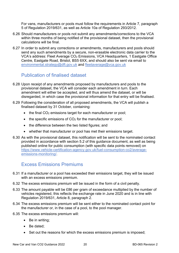For vans, manufacturers or pools must follow the requirements in Article 7, paragraph 5 of Regulation 2019/631, as well as Article 10a of Regulation 293/2012.

- 6.26 Should manufacturers or pools not submit any amendments/corrections to the VCA within three months of being notified of the provisional dataset, then the provisional calculations will be final.
- 6.27 In order to submit any corrections or amendments, manufacturers and pools should send any such amendments by a secure, non-erasable electronic data carrier to the VCA's address: Fleet Average CO2 Emissions, VCA Headquarters, 1 Eastgate Office Centre, Eastgate Road, Bristol, BS5 6XX, and should also be sent via email to [environmental.strategy@dft.gov.uk](mailto:environmental.strategy@dft.gov.uk) and [fleetaverage@vca.gov.uk](mailto:fleetaverage@vca.gov.uk)

#### Publication of finalised dataset

- 6.28 Upon receipt of any amendments proposed by manufacturers and pools to the provisional dataset, the VCA will consider each amendment in turn. Each amendment will either be accepted, and will thus amend the dataset, or will be disregarded, in which case the provisional information for that entry will be finalised.
- 6.29 Following the consideration of all proposed amendments, the VCA will publish a finalised dataset by 31 October, containing:
	- the final CO<sub>2</sub> emissions target for each manufacturer or pool;
	- $\bullet$  the specific emissions of CO<sub>2</sub> for the manufacturer or pool;
	- the difference between the two listed figures; and
	- whether that manufacturer or pool has met their emissions target.
- 6.30 As with the provisional dataset, this notification will be sent to the nominated contact provided in accordance with section 5.2 of this guidance document, as well as being published online for public consumption (with specific data points removed) on [https://www.vehicle-certification-agency.gov.uk/fuel-consumption-co2/average](https://www.vehicle-certification-agency.gov.uk/fuel-consumption-co2/average-emissions-monitoring/)[emissions-monitoring/.](https://www.vehicle-certification-agency.gov.uk/fuel-consumption-co2/average-emissions-monitoring/)

#### Excess Emissions Premiums

- 6.31 If a manufacturer or a pool has exceeded their emissions target, they will be issued with an excess emissions premium.
- 6.32 The excess emissions premium will be issued in the form of a civil penalty.
- 6.33 The amount payable will be £86 per gram of exceedance multiplied by the number of vehicles registered, this reflects the exchange rate in June 2020 and is in line with Regulation 2019/631, Article 8, paragraph 2.
- 6.34 The excess emissions premium will be sent either to the nominated contact point for the manufacturer or, in the case of a pool, to the pool manager.
- 6.35 The excess emissions premium will:
	- Be in writing;
	- Be dated;
	- Set out the reasons for which the excess emissions premium is imposed;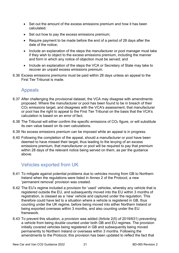- Set out the amount of the excess emissions premium and how it has been calculated;
- Set out how to pay the excess emissions premium;
- Require payment to be made before the end of a period of 28 days after the date of the notice;
- Include an explanation of the steps the manufacturer or pool manager must take if they wish to object to the excess emissions premium, including the manner and form in which any notice of objection must be served; and
- Include an explanation of the steps the VCA or Secretary of State may take to recover an unpaid excess emissions premium.
- 6.36 Excess emissions premiums must be paid within 28 days unless an appeal to the First Tier Tribunal is made.

#### Appeals

- 6.37 After challenging the provisional dataset, the VCA may disagree with amendments proposed. Where the manufacturer or pool has been found to be in breach of their CO2 emissions target, and disagrees with the VCA's assessment, that manufacturer or pool has the right to appeal to the First Tier Tribunal on the basis that the VCA's calculation is based on an error of fact.
- 6.38 The Tribunal will either confirm the specific emissions of CO2 figure, or will substitute its own value based on its own calculations.
- 6.39 No excess emissions premium can be imposed while an appeal is in progress.
- 6.40 Following the completion of the appeal, should a manufacturer or pool have been deemed to have missed their target, thus leading to the levying of an excess emissions premium, that manufacturer or pool will be required to pay that premium within 28 days of the relevant notice being served on them, as per the guidance above.

#### Vehicles exported from UK

- 6.41 To mitigate against potential problems due to vehicles moving from GB to Northern Ireland when the regulations were listed in Annex 2 of the Protocol, a new 'permanent removal' provision was created.
- 6.42 The EU's regime included a provision for 'used' vehicles, whereby any vehicle that is registered outside the EU, and subsequently moved into the EU within 3 months of registration, is classed as a 'new' vehicle and captured under the regulation. This therefore could have led to a situation where a vehicle is registered in GB, thus counting under the UK regime, before being moved into either Northern Ireland or being exported overseas within 3 months, and also counting under the EU framework.
- 6.43 To prevent this situation, a provision was added (Article 2(5) of 2019/631) preventing a vehicle from being double counted under both GB and EU regimes. The provision initially covered vehicles being registered in GB and subsequently being moved permanently to Northern Ireland or overseas within 3 months. Following the amendments to the Protocol, this provision has been updated to reflect the fact that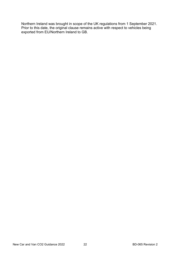Northern Ireland was brought in scope of the UK regulations from 1 September 2021. Prior to this date, the original clause remains active with respect to vehicles being exported from EU/Northern Ireland to GB.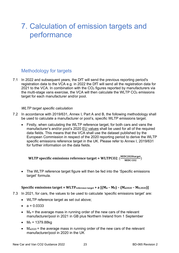### 7. Calculation of emission targets and performance

#### Methodology for targets

7.1 In 2022 and subsequent years, the DfT will send the previous reporting period's registration data to the VCA e.g. in 2022 the DfT will send all the registration data for 2021 to the VCA. In combination with the CO2 figures reported by manufacturers via the multi-stage vans exercise, the VCA will then calculate the WLTP  $CO<sub>2</sub>$  emissions target for each manufacturer and/or pool.

#### *WLTP target specific calculation*

- 7.2 In accordance with 2019/631, Annex I, Part A and B, the following methodology shall be used to calculate a manufacturer or pool's, specific WLTP emissions target.
	- Firstly, when calculating the WLTP reference target, for both cars and vans the manufacturer's and/or pool's 2020 EU values shall be used for all of the required data fields. This means that the VCA shall use the dataset published by the European Commission in respect of the 2020 reporting period to derive the WLTP specific emissions reference target in the UK. Please refer to Annex I, 2019/631 for further information on the data fields.

WLTP specific emissions reference target = WLTPCO2. ( $\frac{\text{NEDC2020target}}{\text{NEDC CO2}}$ )

• The WLTP reference target figure will then be fed into the 'Specific emissions target' formula.

#### **Specific emissions target = WLTP** reference target  $+ a [(M_{\emptyset} - M_0) - (M_{\emptyset}2020 - M_{0,2020})]$

- 7.3 In 2021, for cars, the values to be used to calculate 'specific emissions target' are:
	- WLTP reference target as set out above;
	- $a = 0.0333$
	- $M_{\varnothing}$  = the average mass in running order of the new cars of the relevant manufacturer/pool in 2021 in GB plus Northern Ireland from 1 September
	- $M_0 = 1379.88kg$
	- $M_{\varnothing 2020}$  = the average mass in running order of the new cars of the relevant manufacturer/pool in 2020 in the UK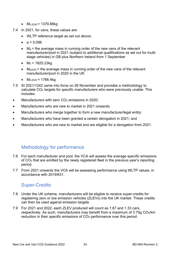- $M_{0.2020} = 1379.88$ kg
- 7.4 In 2021, for vans, these values are:
	- WLTP reference target as set out above;
	- $a = 0.096$
	- $M<sub>\varnothing</sub>$  = the average mass in running order of the new vans of the relevant manufacturer/pool in 2021 (subject to additional qualifications as set out for multistage vehicles) in GB plus Northern Ireland from 1 September
	- $M_0 = 1825.23$ kg
	- $M_{\varnothing 2020}$  = the average mass in running order of the new vans of the relevant manufacturer/pool in 2020 in the UK
	- $M_{0,2020} = 1766.4kg$
- 7.5 SI 2021/1242 came into force on 26 November and provides a methodology to calculate CO2 targets for specific manufacturers who were previously unable. This includes:
- Manufacturers with zero  $CO<sub>2</sub>$  emissions in 2020;
- Manufacturers who are new to market in 2021 onwards;
- Manufacturers who merge together to form a new manufacturer/legal entity;
- Manufacturers who have been granted a certain derogation in 2021; and
- Manufacturers who are new to market and are eligible for a derogation from 2021.

#### Methodology for performance

- 7.6 For each manufacturer and pool, the VCA will assess the average specific emissions of CO2 that are emitted by the newly registered fleet in the previous year's reporting period.
- 7.7 From 2021 onwards the VCA will be assessing performance using WLTP values, in accordance with 2019/631.

#### Super-Credits

- 7.8 Under the UK scheme, manufacturers will be eligible to receive super-credits for registering zero or low emission vehicles (ZLEVs) into the UK market. These credits can then be used against emission targets.
- 7.9 For 2021 and 2022, each ZLEV produced will count as 1.67 and 1.33 cars, respectively. As such, manufacturers may benefit from a maximum of 3.75g CO2/km reduction in their specific emissions of CO<sub>2</sub> performance over this period.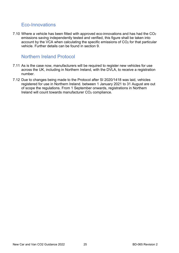#### Eco-Innovations

7.10 Where a vehicle has been fitted with approved eco-innovations and has had the CO<sub>2</sub> emissions saving independently tested and verified, this figure shall be taken into account by the VCA when calculating the specific emissions of CO<sub>2</sub> for that particular vehicle. Further details can be found in section 9.

#### Northern Ireland Protocol

- 7.11 As is the case now, manufacturers will be required to register new vehicles for use across the UK, including in Northern Ireland, with the DVLA, to receive a registration number.
- 7.12 Due to changes being made to the Protocol after SI 2020/1418 was laid, vehicles registered for use in Northern Ireland. between 1 January 2021 to 31 August are out of scope the regulations. From 1 September onwards, registrations in Northern Ireland will count towards manufacturer CO<sub>2</sub> compliance.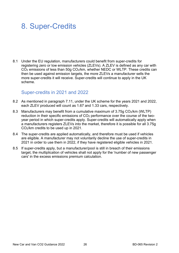### 8. Super-Credits

8.1 Under the EU regulation, manufacturers could benefit from super-credits for registering zero or low emission vehicles (ZLEVs). A ZLEV is defined as any car with CO2 emissions of less than 50g CO2/km, whether NEDC or WLTP. These credits can then be used against emission targets, the more ZLEVs a manufacturer sells the more super-credits it will receive. Super-credits will continue to apply in the UK scheme.

#### Super-credits in 2021 and 2022

- 8.2 As mentioned in paragraph 7.11, under the UK scheme for the years 2021 and 2022, each ZLEV produced will count as 1.67 and 1.33 cars, respectively.
- 8.3 Manufacturers may benefit from a cumulative maximum of 3.75g CO<sub>2</sub>/km (WLTP) reduction in their specific emissions of CO2 performance over the course of the twoyear period in which super-credits apply. Super-credits will automatically apply when a manufacturers registers ZLEVs into the market, therefore it is possible for all 3.75g CO2/km credits to be used up in 2021.
- 8.4 The super-credits are applied automatically, and therefore must be used if vehicles are eligible. A manufacturer may not voluntarily decline the use of super-credits in 2021 in order to use them in 2022, if they have registered eligible vehicles in 2021.
- 8.5 If super-credits apply, but a manufacturer/pool is still in breach of their emissions target, the multiplication of vehicles shall not apply for the 'number of new passenger cars' in the excess emissions premium calculation.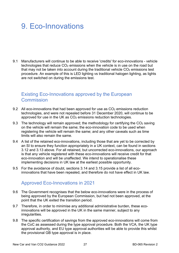## 9. Eco-Innovations

9.1 Manufacturers will continue to be able to receive 'credits' for eco-innovations - vehicle technologies that reduce  $CO<sub>2</sub>$  emissions when the vehicle is in use on the road but that may not be taken into account during the traditional vehicle  $CO<sub>2</sub>$  emissions test procedure. An example of this is LED lighting vs traditional halogen lighting, as lights are not switched on during the emissions test.

#### Existing Eco-Innovations approved by the European **Commission**

- 9.2 All eco-innovations that had been approved for use as  $CO<sub>2</sub>$  emissions reduction technologies, and were not repealed before 31 December 2020, will continue to be approved for use in the UK as CO<sub>2</sub> emissions reduction technologies.
- 9.3 The technology will remain approved; the methodology for certifying the  $CO<sub>2</sub>$  saving on the vehicle will remain the same; the eco-innovation code to be used when registering the vehicle will remain the same; and any other caveats such as time limits will also remain the same.
- 9.4 A list of the retained eco-innovations, including those that are yet to be corrected by an SI to ensure they function appropriately in a UK context, can be found in sections 3.12 and 3.13 above. For all retained, but uncorrected eco-innovations, our approach is that any vehicle registered with these eco-innovations will receive credit for that eco-innovation and will be unaffected. We intend to operationalise these implementing decisions in UK law at the earliest possible opportunity.
- 9.5 For the avoidance of doubt, sections 3.14 and 3.15 provide a list of all ecoinnovations that have been repealed, and therefore do not have effect in UK law.

### Approved Eco-Innovations in 2021

- 9.6 The Government recognises that the below eco-innovations were in the process of being approved by the European Commission, but had not been approved, at the point that the UK exited the transition period.
- 9.7 Therefore, in order to minimise any additional administrative burden, these ecoinnovations will be approved in the UK in the same manner, subject to any irregularities.
- 9.8 The specific certification of savings from the approved eco-innovations will come from the CoC as assessed during the type approval procedure. Both the VCA, the UK type approval authority, and EU type approval authorities will be able to provide this whilst the provisional GB type approval is in place.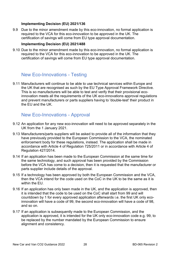#### **Implementing Decision (EU) 2021/136**

9.9 Due to the minor amendment made by this eco-innovation, no formal application is required to the VCA for this eco-innovation to be approved in the UK. The certification of savings will come from EU type approval documentation.

#### **Implementing Decision (EU) 2021/488**

9.10 Due to the minor amendment made by this eco-innovation, no formal application is required to the VCA for this eco-innovation to be approved in the UK. The certification of savings will come from EU type approval documentation.

#### New Eco-Innovations - Testing

9.11 Manufacturers will continue to be able to use technical services within Europe and the UK that are recognised as such by the EU Type Approval Framework Directive. This is so manufacturers will be able to test and verify that their provisional ecoinnovation meets all the requirements of the UK eco-innovations approval regulations and prevent manufacturers or parts suppliers having to 'double-test' their product in the EU and the UK.

#### New Eco-Innovations - Approval

- 9.12 An application for any new eco-innovation will need to be approved separately in the UK from the 1 January 2021.
- 9.13 Manufacturers/parts suppliers will be asked to provide all of the information that they have previously provided to the European Commission to the VCA, the nominated enforcement body for these regulations, instead. The application shall be made in accordance with Article 4 of Regulation 725/2011 or in accordance with Article 4 of Regulation 427/2014.
- 9.14 If an application has been made to the European Commission at the same time for the same technology, and such approval has been provided by the Commission before the VCA has come to a decision, then it is requested that the manufacturer or parts supplier include details of the approval.
- 9.15 If a technology has been approved by both the European Commission and the VCA, then the VCA intend for the code used on the CoC in the UK to be the same as it is within the FU.
- 9.16 If an application has only been made in the UK, and the application is approved, then it is intended that the code to be used on the CoC shall start from 99 and will countdown by 1 for every approved application afterwards i.e. the first UK only ecoinnovation will have a code of 99, the second eco-innovation will have a code of 98, and so on.
- 9.17 If an application is subsequently made to the European Commission, and the application is approved, it is intended for the UK only eco-innovation code e.g. 99, to be replaced by the number mandated by the European Commission to ensure alignment and consistency.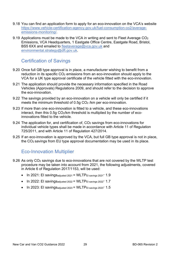- 9.18 You can find an application form to apply for an eco-innovation on the VCA's website [https://www.vehicle-certification-agency.gov.uk/fuel-consumption-co2/average](https://www.vehicle-certification-agency.gov.uk/fuel-consumption-co2/average-emissions-monitoring/)[emissions-monitoring/.](https://www.vehicle-certification-agency.gov.uk/fuel-consumption-co2/average-emissions-monitoring/)
- 9.19 Applications must be made to the VCA in writing and sent to Fleet Average CO2 Emissions, VCA Headquarters, 1 Eastgate Office Centre, Eastgate Road, Bristol, BS5 6XX and emailed to [fleetaverage@vca.gov.uk](mailto:fleetaverage@vca.gov.uk) and [environmental.strategy@dft.gov.uk.](mailto:environmental.strategy@dft.gov.uk)

### Certification of Savings

- 9.20 Once full GB type approval is in place, a manufacturer wishing to benefit from a reduction in its specific  $CO<sub>2</sub>$  emissions from an eco-innovation should apply to the VCA for a UK type approval certificate of the vehicle fitted with the eco-innovation.
- 9.21 The application should provide the necessary information specified in the Road Vehicles (Approvals) Regulations 2009, and should refer to the decision to approve the eco-innovation.
- 9.22 The savings provided by an eco-innovation on a vehicle will only be certified if it meets the minimum threshold of 0.5g CO<sub>2</sub> /km per eco-innovation.
- 9.23 If more than one eco-innovation is fitted to a vehicle, and these eco-innovations interact, then this 0.5g CO2/km threshold is multiplied by the number of ecoinnovations fitted to the vehicle.
- 9.24 The application for, and certification of, CO2 savings from eco-innovations for individual vehicle types shall be made in accordance with Article 11 of Regulation 725/2011, and with Article 11 of Regulation 427/2014.
- 9.25 If an eco-innovation is approved by the VCA, but full GB type approval is not in place, the CO2 savings from EU type approval documentation may be used in its place.

#### Eco-Innovation Multiplier

- 9.26 As only CO2 savings due to eco-innovations that are not covered by the WLTP test procedure may be taken into account from 2021, the following adjustments, covered in Article 6 of Regulation 2017/1153, will be used:
	- In 2021: EI savingsadjusted 2021 = WLTPEI savings 2021**·** 1.9
	- In 2022: EI savingsadjusted 2022 = WLTPEI savings 2022**·** 1.7
	- In 2023: EI savingsadjusted 2023 = WLTPEI savings 2023**·** 1.5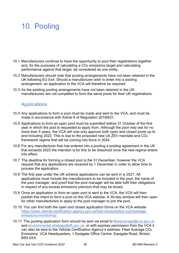## 10. Pooling

- 10.1 Manufacturers continue to have the opportunity to pool their registrations together and, for the purposes of calculating a  $CO<sub>2</sub>$  emissions target and calculating performance against that target, be considered as one entity.
- 10.2 Manufacturers should note that pooling arrangements have not been retained in the UK following EU Exit. Should a manufacturer wish to enter into a pooling arrangement, an application to the VCA will therefore be required.
- 10.3 As the existing pooling arrangements have not been retained in the UK, manufacturers are not compelled to form the same pools for their UK registrations.

### **Applications**

- 10.4 Any applications to form a pool must be made and sent to the VCA, and must be made in accordance with Article 6 of Regulation 2019/631.
- 10.5 Applications to form an open pool must be submitted before 31 October of the first year in which the pool is requested to apply from. Although the pool may last for no more than 5 years, the VCA will now only approve both open and closed pools up to and including 2023. This is due to the proposed new Uk ZEV mandate and CO<sub>2</sub> framework regime that will be coming into force in 2024
- 10.6 For any manufacturer that has entered into a pooling a pooling agreement in the UK that exceeds 2023 the intention is for this to be dissolved once the new regime enters into effect.
- 10.7 The deadline for forming a closed pool is the 31 December, however the VCA request that any applications are received by 1 December in order to allow time to process the application.
- 10.8 The first year under the UK scheme applications can be sent in is 2021. All applications must include the manufacturers to be included in the pool; the name of the pool manager; and proof that the pool manager will be able fulfil their obligations in respect of any excess emissions premium that may be levied.
- 10.9 Once an application to form an open pool is sent to the VCA, the VCA will then publish this intent to form a pool on the VCA website. A 30-day window will then open for other manufacturers to apply to the pool manager to join the pool.
- 10.10 You can find both the open and closed application forms on the VCA website [https://www.vehicle-certification-agency.gov.uk/fuel-consumption-co2/average](https://www.vehicle-certification-agency.gov.uk/fuel-consumption-co2/average-emissions-monitoring/)[emissions-monitoring/.](https://www.vehicle-certification-agency.gov.uk/fuel-consumption-co2/average-emissions-monitoring/)
- 10.11 The pooling application form should be sent via email to [fleetaverage@vca.gov.uk](mailto:fleetaverage@vca.gov.uk) and [environmental.strategy@dft.gov.uk,](mailto:environmental.strategy@dft.gov.uk) or with express permission from the VCA it can also be sent to the Vehicle Certification Agency's address: Fleet Average CO2 Emissions, VCA Headquarters, 1 Eastgate Office Centre, Eastgate Road, Bristol, BS5 6XX.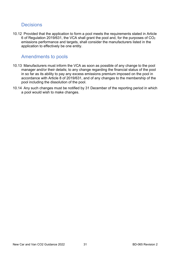#### **Decisions**

10.12 Provided that the application to form a pool meets the requirements stated in Article 6 of Regulation 2019/631, the VCA shall grant the pool and, for the purposes of CO2 emissions performance and targets, shall consider the manufacturers listed in the application to effectively be one entity.

#### Amendments to pools

- 10.13 Manufacturers must inform the VCA as soon as possible of any change to the pool manager and/or their details; to any change regarding the financial status of the pool in so far as its ability to pay any excess emissions premium imposed on the pool in accordance with Article 8 of 2019/631, and of any changes to the membership of the pool including the dissolution of the pool.
- 10.14 Any such changes must be notified by 31 December of the reporting period in which a pool would wish to make changes.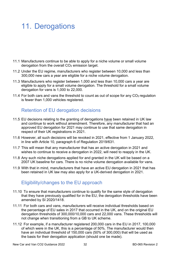## 11. Derogations

- 11.1 Manufacturers continue to be able to apply for a niche volume or small volume derogation from the overall CO<sub>2</sub> emission target.
- 11.2 Under the EU regime, manufacturers who register between 10,000 and less than 300,000 new cars a year are eligible for a niche volume derogation.
- 11.3 Manufacturers who register between 1,000 and less than 10,000 cars a year are eligible to apply for a small volume derogation. The threshold for a small volume derogation for vans is 1,000 to 22,000.
- 11.4 For both cars and vans the threshold to count as out of scope for any  $CO<sub>2</sub>$  regulation is fewer than 1,000 vehicles registered.

### Retention of EU derogation decisions

- 11.5 EU decisions relating to the granting of derogations have been retained in UK law and continue to work without amendment. Therefore, any manufacturer that had an approved EU derogation for 2021 may continue to use that same derogation in respect of their UK registrations in 2021.
- 11.6 However, all such decisions will be revoked in 2021, effective from 1 January 2022, in line with Article 10, paragraph 6 of Regulation 2019/631.
- 11.7 This will mean that any manufacturer that has an active derogation in 2021 and wishes to continue to receive a derogation in 2022, will need to reapply in the UK.
- 11.8 Any such niche derogations applied for and granted in the UK will be based on a 2007 UK baseline for cars. There is no niche volume derogation available for vans.
- 11.9 With that in mind, manufacturers that have an active EU derogation in 2021 that has been retained in UK law may also apply for a UK-derived derogation in 2021.

#### Eligibility/changes to the EU approach

- 11.10 To ensure that manufacturers continue to qualify for the same style of derogation that they have previously qualified for in the EU, the derogation thresholds have been amended by SI 2020/1418.
- 11.11 For both cars and vans, manufacturers will receive individual thresholds based on the percentage of EU sales in 2017 that occurred in the UK, and on the original EU derogation thresholds of 300,000/10,000 cars and 22,000 vans. These thresholds will not change when transitioning from a GB to UK scheme.
- 11.12 For example, if a manufacturer registered 200,000 cars in the EU in 2017, 100,000 of which were in the UK, this is a percentage of 50%. The manufacturer would then have an individual threshold of 150,000 cars (50% of 300,000) that will be used as the basis for their derogation application (should one be made).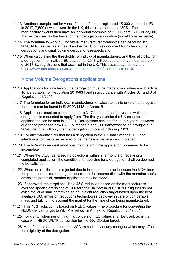- 11.13 Another example, but for vans, if a manufacturer registered 15,000 vans in the EU in 2017, 7,500 of which were in the UK, this is a percentage of 50%. The manufacturer would then have an individual threshold of 11,000 cars (50% of 22,000) that will be used as the basis for their derogation application (should one be made).
- 11.14 The formulae to work out individual manufacturer thresholds can be found in SI 2020/1418, as well as Annex B and Annex C of this document for niche volume derogations and small volume derogations respectively.
- 11.15 When calculating the thresholds for individual manufacturers, and thus eligibility for a derogation, the finalised EU dataset for 2017 will be used to derive the proportion of 2017 EU registrations that occurred in the UK. This dataset can be found at [https://www.eea.europa.eu/data-and-maps/data/co2-cars-emission-16.](https://www.eea.europa.eu/data-and-maps/data/co2-cars-emission-16)

#### Niche Volume Derogations applications

- 11.16 Applications for a niche volume derogation must be made in accordance with Article 10, paragraph 4 of Regulation 2019/631 and in accordance with Articles 3,4 and 6 of Regulation 63/2011.
- 11.17 The formulae for an individual manufacturer to calculate its niche volume derogation threshold can be found in SI 2020/1418 or Annex B.
- 11.18 Applications must be submitted before 31 October of the first year in which the derogation is requested to apply from. The first year under the UK scheme applications can be sent in is 2021. Derogations can last for up to 5 years, however due to the proposed new Uk ZEV mandate and CO<sub>2</sub> framework being brought in in 2024, the VCA will only grant a derogation upto and including 2023.
- 11.19 For any manufacturer that has a derogation in the UK that exceeds 2023 the intention is for the to be revoked once the new scheme enters into effect.
- 11.20 The VCA may request additional information if the application is deemed to be incomplete
- 11.21 Where the VCA has raised no objections within nine months of receiving a completed application, the conditions for applying for a derogation shall be deemed to be satisfied.
- 11.22 Where an application is rejected due to incompleteness or because the VCA finds the proposed emissions target is deemed to be incompatible with the manufacturer's emissions potential, another application may be made.
- 11.23 If approved, the target shall be a 45% reduction based on the manufacturer's average specific emissions of CO<sub>2</sub> for their UK fleet in 2007. If 2007 figures do not exist, the VCA shall determine an equivalent reduction target based upon the best available CO2 emission reductions technologies deployed in cars of comparable mass and taking into account the market for the type of car being manufactured.
- 11.24 This 45% reduction is based on NEDC values. The procedure for converting the NEDC-derived target to WLTP is set out in Annex I of Regulation 2019/631.
- 11.25 For clarity, when performing this conversion, EU values shall be used, as is the case with NEDC/WLTP conversion for the 95g CO₂/km target.
- 11.26 Manufacturers must inform the VCA immediately of any changes which may affect the eligibility of the derogation.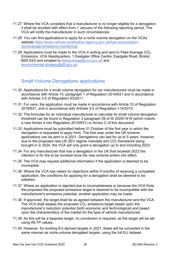- 11.27 Where the VCA considers that a manufacturer is no longer eligible for a derogation, it shall be revoked with effect from 1 January of the following reporting period. The VCA will notify the manufacturer in such circumstances.
- 11.28 You can find applications to apply for a niche volume derogation on the VCAs website [https://www.vehicle-certification-agency.gov.uk/fuel-consumption](https://www.vehicle-certification-agency.gov.uk/fuel-consumption-co2/average-emissions-monitoring/)[co2/average-emissions-monitoring/.](https://www.vehicle-certification-agency.gov.uk/fuel-consumption-co2/average-emissions-monitoring/)
- 11.29 Applications must be made to the VCA in writing and sent to Fleet Average CO2 Emissions, VCA Headquarters, 1 Eastgate Office Centre, Eastgate Road, Bristol, BS5 6XX and emailed to [fleetaverage@vca.gov.uk](mailto:fleetaverage@vca.gov.uk) and [environmental.strategy@dft.gov.uk.](mailto:environmental.strategy@dft.gov.uk)

#### Small Volume Derogations applications

- 11.30 Applications for a small volume derogation for car manufacturers must be made in accordance with Article 10, paragraph 1 of Regulation 2019/631 and in accordance with Articles 3-5 of Regulation 63/2011.
- 11.31 For vans, the application must be made in accordance with Article 10 of Regulation 2019/631, and in accordance with Articles 3-5 of Regulation 114/2013.
- 11.32 The formulae for an individual manufacturer to calculate its small volume derogation threshold can be found in Regulation 3 paragraph 29 of SI 2020/1418 (which inserts a new Annex 4 into Regulation 2019/631) or Annex C of this document.
- 11.33 Applications must be submitted before 31 October of the first year in which the derogation is requested to apply from. The first year under the UK scheme applications can be sent in is 2021. Derogations can last for up to 5 years, however due to the proposed new UK ZEV regime mandate and CO<sub>2</sub> framework being brought in in 2024, the VCA will only grant a derogation up to and including 2023.
- 11.34 For any manufacturer that has a derogation in the UK that exceeds 2023 the intention is for the to be revoked once the new scheme enters into effect.
- 11.35 The VCA may request additional information if the application is deemed to be incomplete.
- 11.36 Where the VCA has raised no objections within 9 months of receiving a completed application, the conditions for applying for a derogation shall be deemed to be satisfied.
- 11.37 Where an application is rejected due to incompleteness or because the VCA finds the proposed the proposed emissions target is deemed to be incompatible with the manufacturer's emissions potential, another application may be made.
- 11.38 If approved, the target shall be as agreed between the manufacturer and the VCA. The VCA shall assess the proposed  $CO<sub>2</sub>$  emissions target based upon the manufacturer's reduction potential (both economic and technological) and based upon the characteristics of the market for the type of vehicle manufactured.
- 11.39 As this will be a bespoke target, no conversion is required, as the target will be set using WLTP values.
- 11.40 However, for existing EU-derived targets in 2021, these will be converted in the same manner as niche-volume derogated targets, using the full EU dataset.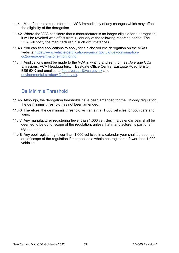- 11.41 Manufacturers must inform the VCA immediately of any changes which may affect the eligibility of the derogation.
- 11.42 Where the VCA considers that a manufacturer is no longer eligible for a derogation, it will be revoked with effect from 1 January of the following reporting period. The VCA will notify the manufacturer in such circumstances.
- 11.43 You can find applications to apply for a niche volume derogation on the VCAs website [https://www.vehicle-certification-agency.gov.uk/fuel-consumption](https://www.vehicle-certification-agency.gov.uk/fuel-consumption-co2/average-emissions-monitoring)[co2/average-emissions-monitoring.](https://www.vehicle-certification-agency.gov.uk/fuel-consumption-co2/average-emissions-monitoring)
- 11.44 Applications must be made to the VCA in writing and sent to Fleet Average CO2 Emissions, VCA Headquarters, 1 Eastgate Office Centre, Eastgate Road, Bristol, BS5 6XX and emailed to [fleetaverage@vca.gov.uk](mailto:fleetaverage@vca.gov.uk) and [environmental.strategy@dft.gov.uk.](mailto:environmental.strategy@dft.gov.uk)

### De Minimis Threshold

- 11.45 Although, the derogation thresholds have been amended for the UK-only regulation, the de minimis threshold has not been amended.
- 11.46 Therefore, the de minimis threshold will remain at 1,000 vehicles for both cars and vans.
- 11.47 Any manufacturer registering fewer than 1,000 vehicles in a calendar year shall be deemed to be out of scope of the regulation, unless that manufacturer is part of an agreed pool.
- 11.48 Any pool registering fewer than 1,000 vehicles in a calendar year shall be deemed out of scope of the regulation if that pool as a whole has registered fewer than 1,000 vehicles.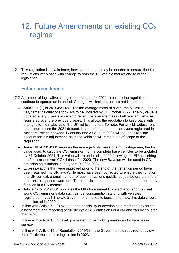## 12. Future Amendments on existing CO<sub>2</sub> regime

12.1 This regulation is now in force; however, changes may be needed to ensure that the regulations keep pace with change to both the UK vehicle market and to wider legislation.

#### Future amendments

- 12.2 A number of legislative changes are planned for 2022 to ensure the regulations continue to operate as intended. Changes will include, but are not limited to:
	- Article 14 (1) of 2019/631 requires the average mass of a van, the  $M_0$  value, used in  $CO<sub>2</sub>$  target calculations for 2024 to be updated by 31 October 2022. The M<sub>0</sub> value is updated every 3 years in order to reflect the average mass of all relevant vehicles registered over the previous 3 years. This allows the regulation to keep pace with changes to the make-up of the UK vehicle market. To note: For any M<sub>0</sub> adjustment that is due to use the 2021 dataset, it should be noted that cars/vans registered in Northern Ireland between 1 January and 31 August 2021 will not be taken into account for this adjustment, as these vehicles will remain out of scope of the regulation.
	- Annex III of 2019/631 requires the average body mass of a multi-stage van, the  $B_0$ value, used to calculate CO2 emission from incomplete base vehicles to be updated by 31 October 2021. This value will be updated in 2022 following the EU publishing the final car and van  $CO<sub>2</sub>$  dataset for 2020. The new  $B<sub>0</sub>$  value will be used in  $CO<sub>2</sub>$ emission calculations in the years 2022 to 2024.
	- Eco-innovations that were approved prior to the end of the transition period have been retained into UK law. While most have been corrected to ensure they function in a UK context, a small number of eco-innovations (published just before the end of the transition period) were not. These decisions need to be amended to ensure they function in a UK context.
	- Article 12 of 2019/631 obligates the UK Government to collect and report on real world CO<sub>2</sub> emissions data such as fuel consumption starting with vehicles registered in 2021.The UK Government intends to legislate for how this data should be collected in 2022.
- In line with Article 7 (10) evaluate the possibility of developing a methodology for the assessment and reporting of full life cycle  $CO<sub>2</sub>$  emissions of a car and van by no later than 2023.
- In line with Article 13 to develop a system to verify  $CO<sub>2</sub>$  emissions for vehicles in service.
- In line with Article 15 of Regulation 2019/631, the Government is required to review the effectiveness of this legislation in 2023.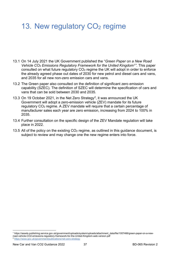## 13. New regulatory  $CO<sub>2</sub>$  regime

- 13.1 On 14 July 2021 the UK Government published the "*Green Paper on a New Road Vehicle CO2 Emissions Regulatory Framework for the United Kingdom[1"](#page-36-0)*. This paper consulted on what future regulatory CO2 regime the UK will adopt in order to enforce the already agreed phase out dates of 2030 for new petrol and diesel cars and vans, and 2035 for all new non-zero emission cars and vans.
- 13.2 The Green paper also consulted on the definition of significant zero emission capability (SZEC). The definition of SZEC will determine the specification of cars and vans that can be sold between 2030 and 2035.
- 13.3 On 19 October 2021, in the Net Zero Strategy<sup>2</sup>, it was announced the UK Government will adopt a zero-emission vehicle (ZEV) mandate for its future regulatory CO2 regime. A ZEV mandate will require that a certain percentage of manufacturer sales each year are zero emission, increasing from 2024 to 100% in 2035.
- 13.4 Further consultation on the specific design of the ZEV Mandate regulation will take place in 2022.
- 13.5 All of the policy on the existing CO<sub>2</sub> regime, as outlined in this guidance document, is subject to review and may change one the new regime enters into force.

<span id="page-36-0"></span><sup>1</sup> https://assets.publishing.service.gov.uk/government/uploads/system/uploads/attachment\_data/file/1007466/green-paper-on-a-newroad-vehicle-CO2-emissions-regulatory-framework-for-the-United-Kingdom-web-version.pdf

<span id="page-36-1"></span><sup>2</sup> <https://www.gov.uk/government/publications/net-zero-strategy>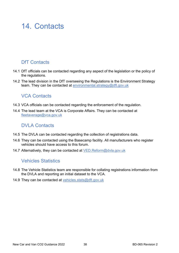### 14. Contacts

### DfT Contacts

- 14.1 DfT officials can be contacted regarding any aspect of the legislation or the policy of the regulations.
- 14.2 The lead division in the DfT overseeing the Regulations is the Environment Strategy team. They can be contacted at [environmental.strategy@dft.gov.uk](mailto:environmental.strategy@dft.gov.uk)

#### VCA Contacts

- 14.3 VCA officials can be contacted regarding the enforcement of the regulation.
- 14.4 The lead team at the VCA is Corporate Affairs. They can be contacted at [fleetaverage@vca.gov.uk](mailto:fleetaverage@vca.gov.uk)

### DVLA Contacts

- 14.5 The DVLA can be contacted regarding the collection of registrations data.
- 14.6 They can be contacted using the Basecamp facility. All manufacturers who register vehicles should have access to this forum.
- 14.7 Alternatively, they can be contacted at [VED.Reform@dvla.gov.uk](mailto:VED.Reform@dvla.gov.uk)

### Vehicles Statistics

- 14.8 The Vehicle Statistics team are responsible for collating registrations information from the DVLA and reporting an initial dataset to the VCA.
- 14.9 They can be contacted at vehicles.stats@dft.gov.uk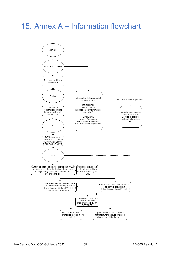## 15. Annex A – Information flowchart

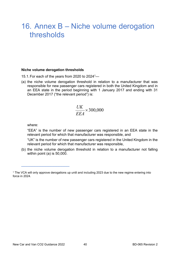### 16. Annex B – Niche volume derogation thresholds

#### **Niche volume derogation thresholds**

- 15.1. For each of the years from 2020 to 2024<sup>1</sup>—
- (a) the niche volume derogation threshold in relation to a manufacturer that was responsible for new passenger cars registered in both the United Kingdom and in an EEA state in the period beginning with 1 January 2017 and ending with 31 December 2017 ("the relevant period") is:

$$
\frac{UK}{EEA} \times 300,000
$$

where:

\_\_\_\_\_\_\_\_\_\_\_\_\_\_\_\_\_\_

"EEA" is the number of new passenger cars registered in an EEA state in the relevant period for which that manufacturer was responsible, and

"UK" is the number of new passenger cars registered in the United Kingdom in the relevant period for which that manufacturer was responsible,

(b) the niche volume derogation threshold in relation to a manufacturer not falling within point (a) is 50,000.

<sup>1</sup> The VCA will only approve derogations up until and including 2023 due to the new regime entering into force in 2024.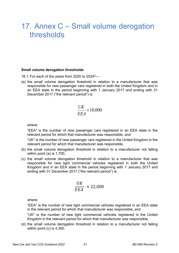### 17. Annex C – Small volume derogation thresholds

#### **Small volume derogation thresholds**

- 16.1.For each of the years from 2020 to 20242—
- (a) the small volume derogation threshold in relation to a manufacturer that was responsible for new passenger cars registered in both the United Kingdom and in an EEA state in the period beginning with 1 January 2017 and ending with 31 December 2017 ("the relevant period") is:

$$
\frac{UK}{EEA} \times 10,000
$$

where:

"EEA" is the number of new passenger cars registered in an EEA state in the relevant period for which that manufacturer was responsible, and

"UK" is the number of new passenger cars registered in the United Kingdom in the relevant period for which that manufacturer was responsible,

- (b) the small volume derogation threshold in relation to a manufacturer not falling within point (a) is 1,700,
- (c) the small volume derogation threshold in relation to a manufacturer that was responsible for new light commercial vehicles registered in both the United Kingdom and in an EEA state in the period beginning with 1 January 2017 and ending with 31 December 2017 ("the relevant period") is:

$$
\frac{UK}{EEA} \times 22,000
$$

where:

"EEA" is the number of new light commercial vehicles registered in an EEA state in the relevant period for which that manufacturer was responsible, and

"UK" is the number of new light commercial vehicles registered in the United Kingdom in the relevant period for which that manufacturer was responsible,

(d) the small volume derogation threshold in relation to a manufacturer not falling within point (c) is 4,300.